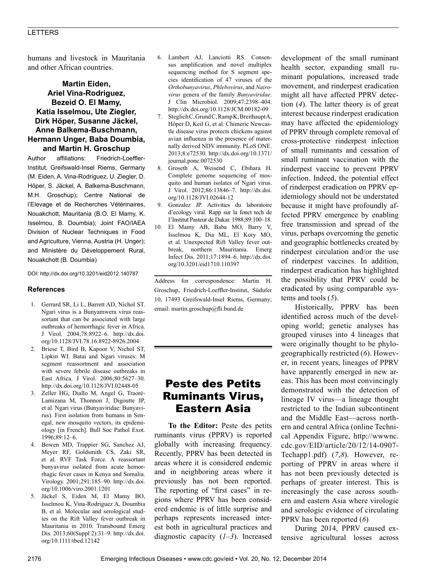humans and livestock in Mauritania and other African countries.

### **Martin Eiden, Ariel Vina-Rodriguez, Bezeid O. El Mamy, Katia Isselmou, Ute Ziegler, Dirk Höper, Susanne Jäckel, Anne Balkema-Buschmann, Hermann Unger, Baba Doumbia, and Martin H. Groschup**

Author affiliations: Friedrich-Loeffler-Institut, Greifswald-Insel Riems, Germany (M. Eiden, A. Vina-Rodriguez, U. Ziegler, D. Höper, S. Jäckel, A. Balkema-Buschmann, M.H. Groschup); Centre National de l'Elevage et de Recherches Vétérinaires, Nouakchott, Mauritania (B.O. El Mamy, K. Isselmou, B. Doumbia); Joint FAO/IAEA Division of Nuclear Techniques in Food and Agriculture, Vienna, Austria (H. Unger); and Ministère du Développement Rural, Nouakchott (B. Doumbia)

DOI: http://dx.doi.org/10.3201/eid2012.140787

#### **References**

- 1. Gerrard SR, Li L, Barrett AD, Nichol ST. Ngari virus is a Bunyamwera virus reassortant that can be associated with large outbreaks of hemorrhagic fever in Africa. J Virol. 2004;78:8922–6. http://dx.doi. org/10.1128/JVI.78.16.8922-8926.2004
- 2. Briese T, Bird B, Kapoor V, Nichol ST, Lipkin WI. Batai and Ngari viruses: M segment reassortment and association with severe febrile disease outbreaks in East Africa. J Virol. 2006;80:5627–30. http://dx.doi.org/10.1128/JVI.02448-05
- 3. Zeller HG, Diallo M, Angel G, Traoré-Lamizana M, Thonnon J, Digoutte JP, et al. Ngari virus (Bunyaviridae: Bunyavirus). First isolation from humans in Senegal, new mosquito vectors, its epidemiology [in French]. Bull Soc Pathol Exot. 1996;89:12–6.
- 4. Bowen MD, Trappier SG, Sanchez AJ, Meyer RF, Goldsmith CS, Zaki SR, et al. RVF Task Force. A reassortant bunyavirus isolated from acute hemorrhagic fever cases in Kenya and Somalia. Virology. 2001;291:185–90. http://dx.doi. org/10.1006/viro.2001.1201
- 5. Jäckel S, Eiden M, El Mamy BO, Isselmou K, Vina-Rodriguez A, Doumbia B, et al. Molecular and serological studies on the Rift Valley fever outbreak in Mauritania in 2010. Transbound Emerg Dis. 2013;60(Suppl 2):31–9. http://dx.doi. org/10.1111/tbed.12142
- 6. Lambert AJ, Lanciotti RS. Consensus amplification and novel multiplex sequencing method for S segment species identification of 47 viruses of the *Orthobunyavirus*, *Phlebovirus*, and *Nairovirus* genera of the family *Bunyaviridae*. J Clin Microbiol. 2009;47:2398–404. http://dx.doi.org/10.1128/JCM.00182-09
- 7. Steglich C, Grund C, Ramp K, Breithaupt A, Höper D, Keil G, et al. Chimeric Newcastle disease virus protects chickens against avian influenza in the presence of maternally derived NDV immunity. PLoS ONE. 2013;8:e72530. http://dx.doi.org/10.1371/ journal.pone.0072530
- 8. Groseth A, Weisend C, Ebihara H. Complete genome sequencing of mosquito and human isolates of Ngari virus. J Virol. 2012;86:13846–7. http://dx.doi. org/10.1128/JVI.02644-12
- 9. Gonzalez JP. Activities du laboratoire d'ecology viral. Rapp sur la fonct tech de I'Institut Pasteur de Dakar. 1988;89:100–18.
- 10. El Mamy AB, Baba MO, Barry Y, Isselmou K, Dia ML, El Kory MO, et al. Unexpected Rift Valley fever outbreak, northern Mauritania. Emerg Infect Dis. 2011;17:1894–6. http://dx.doi. org/10.3201/eid1710.110397

Address for correspondence: Martin H. Groschup, Friedrich-Loeffler-Institut, Südufer 10, 17493 Greifswald-Insel Riems, Germany; email: martin.groschup@fli.bund.de

## Peste des Petits Ruminants Virus, Eastern Asia

**To the Editor:** Peste des petits ruminants virus (PPRV) is reported globally with increasing frequency. Recently, PPRV has been detected in areas where it is considered endemic and in neighboring areas where it previously has not been reported. The reporting of "first cases" in regions where PPRV has been considered endemic is of little surprise and perhaps represents increased interest both in agricultural practices and diagnostic capacity (*1*–*3*). Increased

development of the small ruminant health sector, expanding small ruminant populations, increased trade movement, and rinderpest eradication might all have affected PPRV detection (*4*). The latter theory is of great interest because rinderpest eradication may have affected the epidemiology of PPRV through complete removal of cross-protective rinderpest infection of small ruminants and cessation of small ruminant vaccination with the rinderpest vaccine to prevent PPRV infection. Indeed, the potential effect of rinderpest eradication on PPRV epidemiology should not be understated because it might have profoundly affected PPRV emergence by enabling free transmission and spread of the virus, perhaps overcoming the genetic and geographic bottlenecks created by rinderpest circulation and/or the use of rinderpest vaccines. In addition, rinderpest eradication has highlighted the possibility that PPRV could be eradicated by using comparable systems and tools (*5*).

Historically, PPRV has been identified across much of the developing world; genetic analyses has grouped viruses into 4 lineages that were originally thought to be phylogeographically restricted (*6*). However, in recent years, lineages of PPRV have apparently emerged in new areas. This has been most convincingly demonstrated with the detection of lineage IV virus—a lineage thought restricted to the Indian subcontinent and the Middle East—across northern and central Africa (online Technical Appendix Figure, http://wwwnc. cdc.gov/EID/article/20/12/14-0907- Techapp1.pdf) (*7*,*8*). However, reporting of PPRV in areas where it has not been previously detected is perhaps of greater interest. This is increasingly the case across southern and eastern Asia where virologic and serologic evidence of circulating PPRV has been reported (*6*)

During 2014, PPRV caused extensive agricultural losses across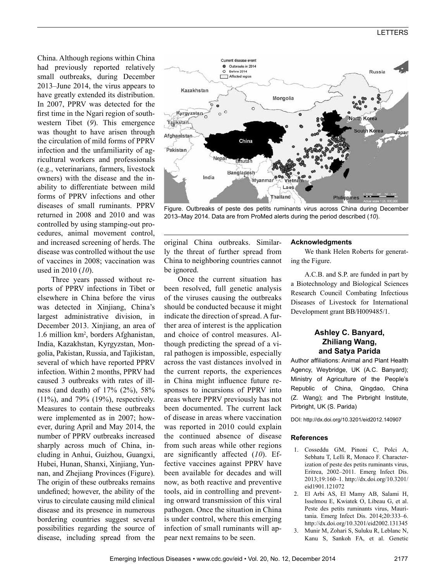### LETTERS

China. Although regions within China had previously reported relatively small outbreaks, during December 2013–June 2014, the virus appears to have greatly extended its distribution. In 2007, PPRV was detected for the first time in the Ngari region of southwestern Tibet (*9*). This emergence was thought to have arisen through the circulation of mild forms of PPRV infection and the unfamiliarity of agricultural workers and professionals (e.g., veterinarians, farmers, livestock owners) with the disease and the inability to differentiate between mild forms of PPRV infections and other diseases of small ruminants. PPRV returned in 2008 and 2010 and was controlled by using stamping-out procedures, animal movement control, and increased screening of herds. The disease was controlled without the use of vaccines in 2008; vaccination was used in 2010 (*10*).

Three years passed without reports of PPRV infections in Tibet or elsewhere in China before the virus was detected in Xinjiang, China's largest administrative division, in December 2013. Xinjiang, an area of 1.6 million km<sup>2</sup> , borders Afghanistan, India, Kazakhstan, Kyrgyzstan, Mongolia, Pakistan, Russia, and Tajikistan, several of which have reported PPRV infection. Within 2 months, PPRV had caused 3 outbreaks with rates of illness (and death) of 17% (2%), 58% (11%), and 79% (19%), respectively. Measures to contain these outbreaks were implemented as in 2007; however, during April and May 2014, the number of PPRV outbreaks increased sharply across much of China, including in Anhui, Guizhou, Guangxi, Hubei, Hunan, Shanxi, Xinjiang, Yunnan, and Zhejiang Provinces (Figure). The origin of these outbreaks remains undefined; however, the ability of the virus to circulate causing mild clinical disease and its presence in numerous bordering countries suggest several possibilities regarding the source of disease, including spread from the



Figure. Outbreaks of peste des petits ruminants virus across China during December 2013–May 2014. Data are from ProMed alerts during the period described (*10*).

original China outbreaks. Similarly the threat of further spread from China to neighboring countries cannot be ignored.

Once the current situation has been resolved, full genetic analysis of the viruses causing the outbreaks should be conducted because it might indicate the direction of spread. A further area of interest is the application and choice of control measures. Although predicting the spread of a viral pathogen is impossible, especially across the vast distances involved in the current reports, the experiences in China might influence future responses to incursions of PPRV into areas where PPRV previously has not been documented. The current lack of disease in areas where vaccination was reported in 2010 could explain the continued absence of disease from such areas while other regions are significantly affected (*10*). Effective vaccines against PPRV have been available for decades and will now, as both reactive and preventive tools, aid in controlling and preventing onward transmission of this viral pathogen. Once the situation in China is under control, where this emerging infection of small ruminants will appear next remains to be seen.

#### **Acknowledgments**

We thank Helen Roberts for generating the Figure.

A.C.B. and S.P. are funded in part by a Biotechnology and Biological Sciences Research Council Combating Infectious Diseases of Livestock for International Development grant BB/H009485/1.

#### **Ashley C. Banyard, Zhiliang Wang, and Satya Parida**

Author affiliations: Animal and Plant Health Agency, Weybridge, UK (A.C. Banyard); Ministry of Agriculture of the People's Republic of China, Qingdao, China (Z. Wang); and The Pirbright Institute, Pirbright, UK (S. Parida)

DOI: http://dx.doi.org/10.3201/eid2012.140907

#### **References**

- 1. Cosseddu GM, Pinoni C, Polci A, Sebhatu T, Lelli R, Monaco F. Characterization of peste des petits ruminants virus, Eritrea, 2002–2011. Emerg Infect Dis. 2013;19:160–1. http://dx.doi.org/10.3201/ eid1901.121072
- 2. El Arbi AS, El Mamy AB, Salami H, Isselmou E, Kwiatek O, Libeau G, et al. Peste des petits ruminants virus, Mauritania. Emerg Infect Dis. 2014;20:333–6. http://dx.doi.org/10.3201/eid2002.131345
- 3. Munir M, Zohari S, Suluku R, Leblanc N, Kanu S, Sankoh FA, et al. Genetic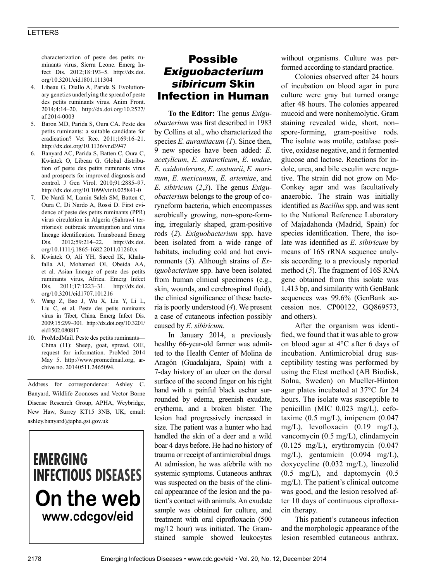### LETTERS

characterization of peste des petits ruminants virus, Sierra Leone. Emerg Infect Dis. 2012;18:193–5. http://dx.doi. org/10.3201/eid1801.111304

- 4. Libeau G, Diallo A, Parida S. Evolutionary genetics underlying the spread of peste des petits ruminants virus. Anim Front. 2014;4:14–20. http://dx.doi.org/10.2527/ af.2014-0003
- 5. Baron MD, Parida S, Oura CA. Peste des petits ruminants: a suitable candidate for eradication? Vet Rec. 2011;169:16–21. http://dx.doi.org/10.1136/vr.d3947
- 6. Banyard AC, Parida S, Batten C, Oura C, Kwiatek O, Libeau G. Global distribution of peste des petits ruminants virus and prospects for improved diagnosis and control. J Gen Virol. 2010;91:2885–97. http://dx.doi.org/10.1099/vir.0.025841-0
- 7. De Nardi M, Lamin Saleh SM, Batten C, Oura C, Di Nardo A, Rossi D. First evidence of peste des petits ruminants (PPR) virus circulation in Algeria (Sahrawi territories): outbreak investigation and virus lineage identification. Transbound Emerg Dis. 2012;59:214–22. http://dx.doi. org/10.1111/j.1865-1682.2011.01260.x
- 8. Kwiatek O, Ali YH, Saeed IK, Khalafalla AI, Mohamed OI, Obeida AA, et al. Asian lineage of peste des petits ruminants virus, Africa. Emerg Infect Dis. 2011;17:1223–31. http://dx.doi. org/10.3201/eid1707.101216
- 9. Wang Z, Bao J, Wu X, Liu Y, Li L, Liu C, et al. Peste des petits ruminants virus in Tibet, China. Emerg Infect Dis. 2009;15:299–301. http://dx.doi.org/10.3201/ eid1502.080817
- 10. ProMedMail. Peste des petits ruminants— China (11): Sheep, goat, spread, OIE, request for information. ProMed 2014 May 5. http://www.promedmail.org, archive no. 20140511.2465094.

Address for correspondence: Ashley C. Banyard, Wildlife Zoonoses and Vector Borne Disease Research Group, APHA, Weybridge, New Haw, Surrey KT15 3NB, UK; email: ashley.banyard@apha.gsi.gov.uk

# **EMERGING INFECTIOUS DISEASES** On the web www.cdcgov/eid

# Possible Exiguobacterium sibiricum Skin Infection in Human

**To the Editor:** The genus *Exiguobacterium* was first described in 1983 by Collins et al., who characterized the species *E. aurantiacum* (*1*). Since then, 9 new species have been added: *E. acetylicum*, *E. antarcticum*, *E. undae*, *E. oxidotolerans*, *E. aestuarii*, *E. marinum*, *E. mexicanum*, *E. artemiae*, and *E. sibiricum* (*2*,*3*). The genus *Exiguobacterium* belongs to the group of coryneform bacteria, which encompasses aerobically growing, non–spore-forming, irregularly shaped, gram-positive rods (*2*). *Exiguobacterium* spp. have been isolated from a wide range of habitats, including cold and hot environments (*3*). Although strains of *Exiguobacterium* spp. have been isolated from human clinical specimens (e.g., skin, wounds, and cerebrospinal fluid), the clinical significance of these bacteria is poorly understood (*4*). We present a case of cutaneous infection possibly caused by *E. sibiricum*.

In January 2014, a previously healthy 66-year-old farmer was admitted to the Health Center of Molina de Aragón (Guadalajara, Spain) with a 7-day history of an ulcer on the dorsal surface of the second finger on his right hand with a painful black eschar surrounded by edema, greenish exudate, erythema, and a broken blister. The lesion had progressively increased in size. The patient was a hunter who had handled the skin of a deer and a wild boar 4 days before. He had no history of trauma or receipt of antimicrobial drugs. At admission, he was afebrile with no systemic symptoms. Cutaneous anthrax was suspected on the basis of the clinical appearance of the lesion and the patient's contact with animals. An exudate sample was obtained for culture, and treatment with oral ciprofloxacin (500 mg/12 hour) was initiated. The Gramstained sample showed leukocytes

without organisms. Culture was performed according to standard practice.

Colonies observed after 24 hours of incubation on blood agar in pure culture were gray but turned orange after 48 hours. The colonies appeared mucoid and were nonhemolytic. Gram staining revealed wide, short, non– spore-forming, gram-positive rods. The isolate was motile, catalase positive, oxidase negative, and it fermented glucose and lactose. Reactions for indole, urea, and bile esculin were negative. The strain did not grow on Mc-Conkey agar and was facultatively anaerobic. The strain was initially identified as *Bacillus* spp. and was sent to the National Reference Laboratory of Majadahonda (Madrid, Spain) for species identification. There, the isolate was identified as *E. sibiricum* by means of 16S rRNA sequence analysis according to a previously reported method (*5*). The fragment of 16S RNA gene obtained from this isolate was 1,413 bp, and similarity with GenBank sequences was 99.6% (GenBank accession nos. CP00122, GQ869573, and others).

After the organism was identified, we found that it was able to grow on blood agar at 4°C after 6 days of incubation. Antimicrobial drug susceptibility testing was performed by using the Etest method (AB Biodisk, Solna, Sweden) on Mueller-Hinton agar plates incubated at 37°C for 24 hours. The isolate was susceptible to penicillin (MIC 0.023 mg/L), cefotaxime  $(0.5 \text{ mg/L})$ , imipenem  $(0.047$ mg/L), levofloxacin (0.19 mg/L), vancomycin (0.5 mg/L), clindamycin  $(0.125 \text{ mg/L})$ , erythromycin  $(0.047$ mg/L), gentamicin (0.094 mg/L), doxycycline (0.032 mg/L), linezolid (0.5 mg/L), and daptomycin (0.5 mg/L). The patient's clinical outcome was good, and the lesion resolved after 10 days of continuous ciprofloxacin therapy.

This patient's cutaneous infection and the morphologic appearance of the lesion resembled cutaneous anthrax.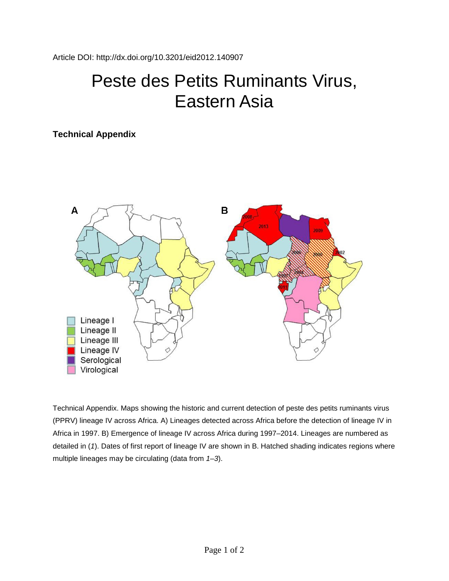# Peste des Petits Ruminants Virus, Eastern Asia

## **Technical Appendix**



Technical Appendix. Maps showing the historic and current detection of peste des petits ruminants virus (PPRV) lineage IV across Africa. A) Lineages detected across Africa before the detection of lineage IV in Africa in 1997. B) Emergence of lineage IV across Africa during 1997–2014. Lineages are numbered as detailed in (*1*). Dates of first report of lineage IV are shown in B. Hatched shading indicates regions where multiple lineages may be circulating (data from *1–3*).